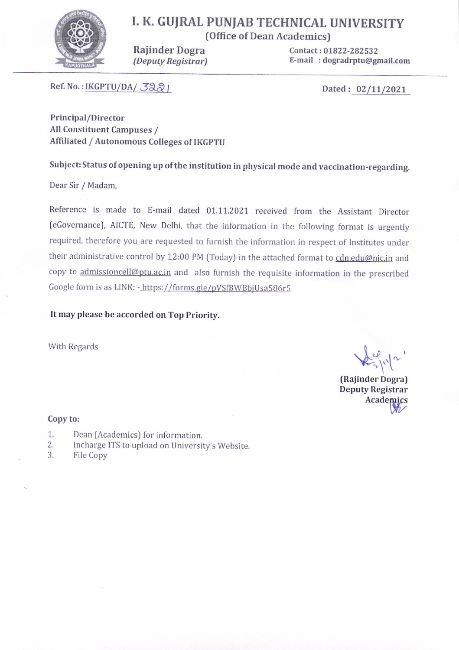

## I. K. GUJRAL PUNJAB TECHNICAL UNIVERSITY {Office of Dean Academics)

Raiinder Dogra (Deputy Registrar) Contact: 01822-282532 E-mail :dogradrptu@gmail.com

Ref. No.: IKGPTU/DA/ $\sqrt{32}$ 

Principal/Director All Constituent Campuses / Affiliated / Autonomous Colleges of tKGPTU

Subject: Status of opening up of the institution in physical mode and vaccination-regarding.

Dear Sir / Madam,

Reference is made to E-mail dated 01.11.2021 received from the Assistant Director {eGovernancel, AlcrE, New Delhi, that the information in the following format is urgently required, therefore you are requested to furnish the information in respect of lnstitutes under their administrative control by 12:00 PM (Today) in the attached format to cdn.edu@nic.in and copy to admissioncell@ptu.ac.in and also furnish the requisite information in the prescribed Google form is as LINK: - https://forms.gle/pVSfBWBbjUsa586r5

It may please be accorded on Top Priority.

With Regards  $\mu_1$ 

(Raiinder Dogra) Deputy Registrar<br>Academics

### Copy to:

- Dean (Academics) for information. 1.
- lncharge ITS to upload on University's Website. 2.
- 3. File Copy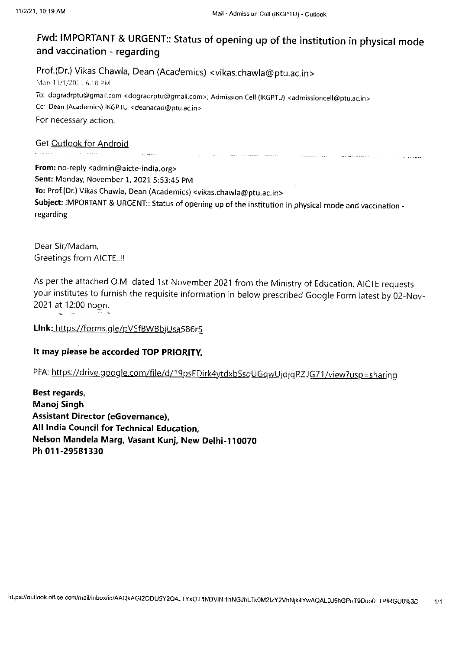# Fwd: IMPoRTANT & URGENT:: status of opening up of the institution in physical mode and vaccination - regarding

Prof.(Dr.) Vikas Chawla, Dean (Academics) < vikas.chawla @ ptu.ac. in <sup>&</sup>gt; Mon 11/1/2021 6:18 PM To: dogradrptu@gmail.com <dogradrptu@gmail.com>; Admission Cell (IKGPTU) <admissioncell@ptu.ac.in> Cc: Dean (Academics) IKGPTU < deanacad@ ptu.ac.in <sup>&</sup>gt; For necessary action.

Get Outlook for Android

From: no-reply <admin@aicte-india.org> Sent: Monday, November 1, 2021 5:53:45 PM To: Prof.(Dr.) Vikas Chawla, Dean (Academics) <vikas.chawla@ptu.ac.in> Subject: IMPORTANT & URGENT:: Status of opening up of the institution in physical mode and vaccination regarding

and the second company of the second company of the second company of the second company of the second company of the second company of the second company of the second company of the second company of the second company o

Dear Sir/Madam, Greetings from AICTE..!!

As per the attached O.M dated 1st November 2021 from the Ministry of Education, AICTE requests your institutes to furnish the requisite information in below prescribed Google Form latest by 02-Nov-2021 at 12:00 noon. i saki sati sh

Link: https://forms.gle/pVSfBWBbjUsa586r5

## It may please be accorded TOP PRlORlTy.

PFA: https://drive.google.com/file/d/19psEDirk4ytdxbSsqUGqwUjdjqRZJG71/view?usp=sharing

Best regards, Manoj Singh Assistant Director (eGovernance), All India Council for Technical Education, Nelson Mandela Marg, Vasant Kunj, New Dethi-110070 Ph 011-29581330